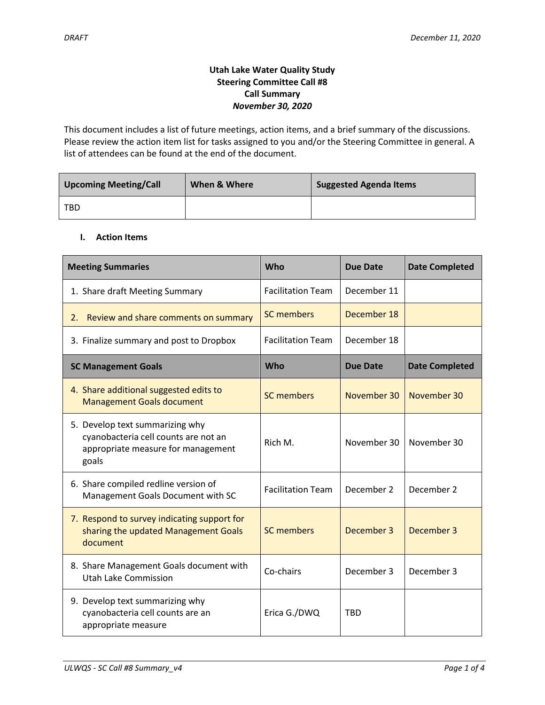# **Utah Lake Water Quality Study Steering Committee Call #8 Call Summary** *November 30, 2020*

This document includes a list of future meetings, action items, and a brief summary of the discussions. Please review the action item list for tasks assigned to you and/or the Steering Committee in general. A list of attendees can be found at the end of the document.

| <b>Upcoming Meeting/Call</b> | When & Where | <b>Suggested Agenda Items</b> |  |
|------------------------------|--------------|-------------------------------|--|
| <b>TBD</b>                   |              |                               |  |

## **I. Action Items**

| <b>Meeting Summaries</b>                                                                                               | <b>Who</b>               | <b>Due Date</b> | <b>Date Completed</b> |
|------------------------------------------------------------------------------------------------------------------------|--------------------------|-----------------|-----------------------|
| 1. Share draft Meeting Summary                                                                                         | <b>Facilitation Team</b> | December 11     |                       |
| Review and share comments on summary<br>2.                                                                             | <b>SC members</b>        | December 18     |                       |
| 3. Finalize summary and post to Dropbox                                                                                | <b>Facilitation Team</b> | December 18     |                       |
| <b>SC Management Goals</b>                                                                                             | <b>Who</b>               | <b>Due Date</b> | <b>Date Completed</b> |
| 4. Share additional suggested edits to<br><b>Management Goals document</b>                                             | <b>SC members</b>        | November 30     | November 30           |
| 5. Develop text summarizing why<br>cyanobacteria cell counts are not an<br>appropriate measure for management<br>goals | Rich M.                  | November 30     | November 30           |
| 6. Share compiled redline version of<br>Management Goals Document with SC                                              | <b>Facilitation Team</b> | December 2      | December 2            |
| 7. Respond to survey indicating support for<br>sharing the updated Management Goals<br>document                        | <b>SC members</b>        | December 3      | December 3            |
| 8. Share Management Goals document with<br>Utah Lake Commission                                                        | Co-chairs                | December 3      | December 3            |
| 9. Develop text summarizing why<br>cyanobacteria cell counts are an<br>appropriate measure                             | Erica G./DWQ             | <b>TBD</b>      |                       |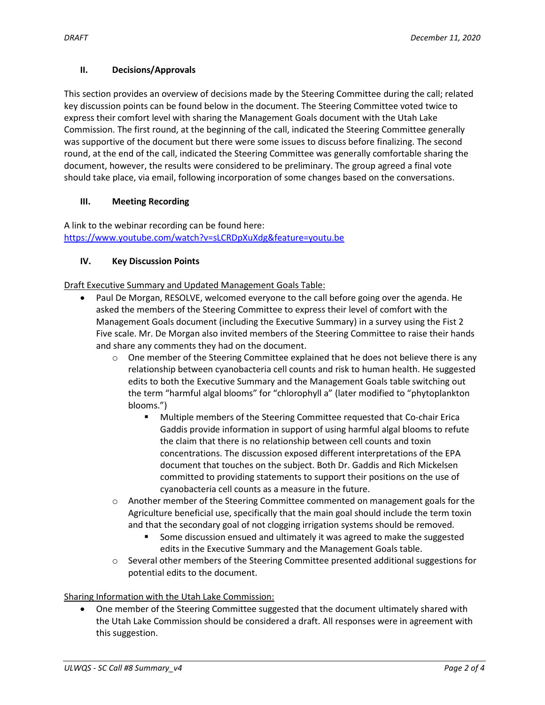## **II. Decisions/Approvals**

This section provides an overview of decisions made by the Steering Committee during the call; related key discussion points can be found below in the document. The Steering Committee voted twice to express their comfort level with sharing the Management Goals document with the Utah Lake Commission. The first round, at the beginning of the call, indicated the Steering Committee generally was supportive of the document but there were some issues to discuss before finalizing. The second round, at the end of the call, indicated the Steering Committee was generally comfortable sharing the document, however, the results were considered to be preliminary. The group agreed a final vote should take place, via email, following incorporation of some changes based on the conversations.

# **III. Meeting Recording**

A link to the webinar recording can be found here: <https://www.youtube.com/watch?v=sLCRDpXuXdg&feature=youtu.be>

# **IV. Key Discussion Points**

Draft Executive Summary and Updated Management Goals Table:

- Paul De Morgan, RESOLVE, welcomed everyone to the call before going over the agenda. He asked the members of the Steering Committee to express their level of comfort with the Management Goals document (including the Executive Summary) in a survey using the Fist 2 Five scale. Mr. De Morgan also invited members of the Steering Committee to raise their hands and share any comments they had on the document.
	- $\circ$  One member of the Steering Committee explained that he does not believe there is any relationship between cyanobacteria cell counts and risk to human health. He suggested edits to both the Executive Summary and the Management Goals table switching out the term "harmful algal blooms" for "chlorophyll a" (later modified to "phytoplankton blooms.")
		- Multiple members of the Steering Committee requested that Co-chair Erica Gaddis provide information in support of using harmful algal blooms to refute the claim that there is no relationship between cell counts and toxin concentrations. The discussion exposed different interpretations of the EPA document that touches on the subject. Both Dr. Gaddis and Rich Mickelsen committed to providing statements to support their positions on the use of cyanobacteria cell counts as a measure in the future.
	- $\circ$  Another member of the Steering Committee commented on management goals for the Agriculture beneficial use, specifically that the main goal should include the term toxin and that the secondary goal of not clogging irrigation systems should be removed.
		- Some discussion ensued and ultimately it was agreed to make the suggested edits in the Executive Summary and the Management Goals table.
	- o Several other members of the Steering Committee presented additional suggestions for potential edits to the document.

# Sharing Information with the Utah Lake Commission:

 One member of the Steering Committee suggested that the document ultimately shared with the Utah Lake Commission should be considered a draft. All responses were in agreement with this suggestion.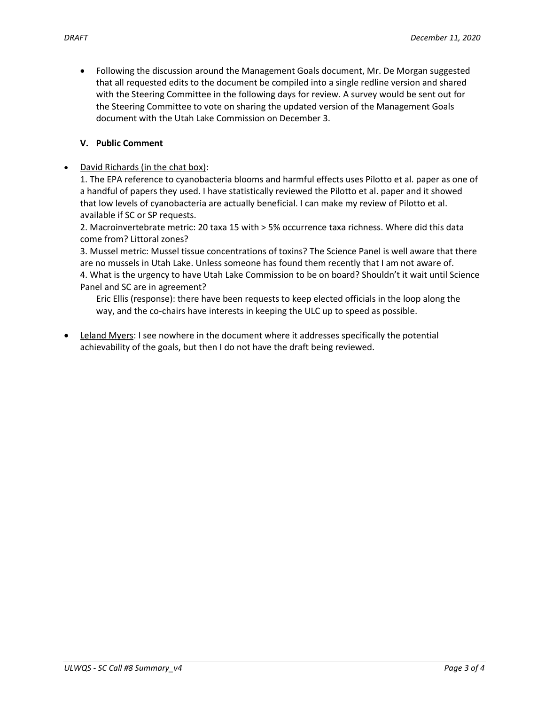Following the discussion around the Management Goals document, Mr. De Morgan suggested that all requested edits to the document be compiled into a single redline version and shared with the Steering Committee in the following days for review. A survey would be sent out for the Steering Committee to vote on sharing the updated version of the Management Goals document with the Utah Lake Commission on December 3.

## **V. Public Comment**

David Richards (in the chat box):

1. The EPA reference to cyanobacteria blooms and harmful effects uses Pilotto et al. paper as one of a handful of papers they used. I have statistically reviewed the Pilotto et al. paper and it showed that low levels of cyanobacteria are actually beneficial. I can make my review of Pilotto et al. available if SC or SP requests.

2. Macroinvertebrate metric: 20 taxa 15 with > 5% occurrence taxa richness. Where did this data come from? Littoral zones?

3. Mussel metric: Mussel tissue concentrations of toxins? The Science Panel is well aware that there are no mussels in Utah Lake. Unless someone has found them recently that I am not aware of. 4. What is the urgency to have Utah Lake Commission to be on board? Shouldn't it wait until Science Panel and SC are in agreement?

Eric Ellis (response): there have been requests to keep elected officials in the loop along the way, and the co-chairs have interests in keeping the ULC up to speed as possible.

 Leland Myers: I see nowhere in the document where it addresses specifically the potential achievability of the goals, but then I do not have the draft being reviewed.